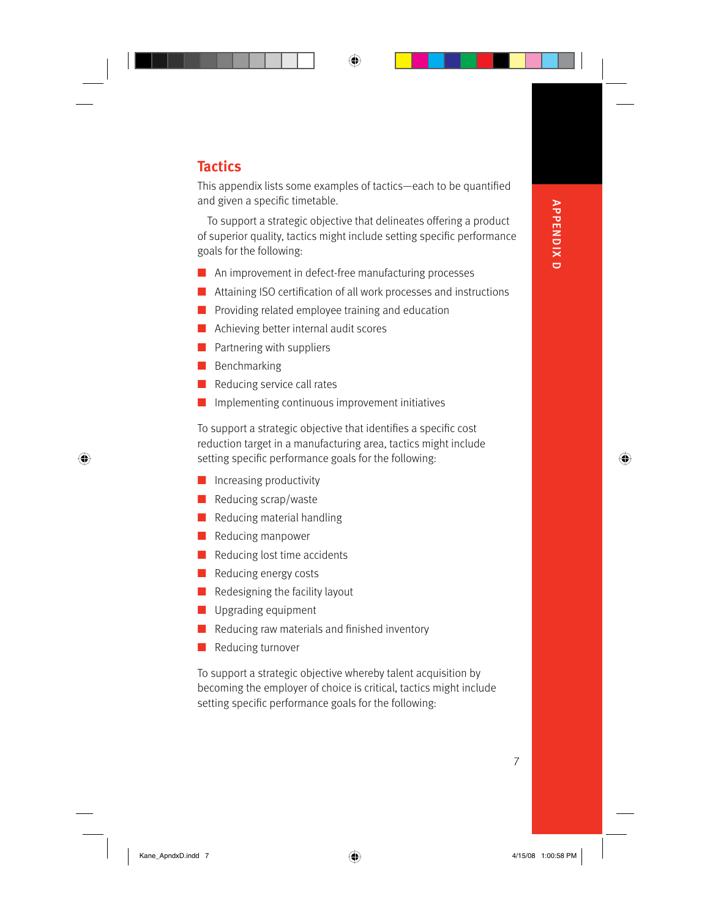## ⊕

## **Tactics**

This appendix lists some examples of tactics—each to be quantified and given a specific timetable.

To support a strategic objective that delineates offering a product of superior quality, tactics might include setting specific performance goals for the following:

- An improvement in defect-free manufacturing processes
- Attaining ISO certification of all work processes and instructions
- Providing related employee training and education
- Achieving better internal audit scores
- Partnering with suppliers
- Benchmarking

 $\bigoplus$ 

- Reducing service call rates ■
- Implementing continuous improvement initiatives ■

To support a strategic objective that identifies a specific cost reduction target in a manufacturing area, tactics might include setting specific performance goals for the following:

- Increasing productivity
- Reducing scrap/waste
- Reducing material handling
- Reducing manpower
- Reducing lost time accidents
- Reducing energy costs
- Redesigning the facility layout
- Upgrading equipment
- Reducing raw materials and finished inventory
- Reducing turnover

To support a strategic objective whereby talent acquisition by becoming the employer of choice is critical, tactics might include setting specific performance goals for the following:

APPENDIX D

⊕

**APPENDIX D** 

7